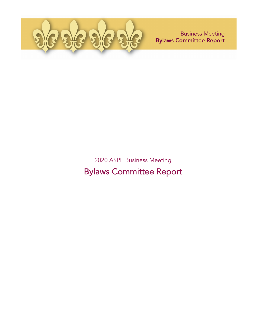

2020 ASPE Business Meeting Bylaws Committee Report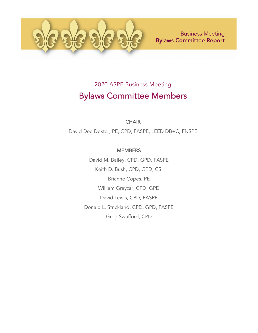

# 2020 ASPE Business Meeting Bylaws Committee Members

# **CHAIR**

David Dee Dexter, PE, CPD, FASPE, LEED DB+C, FNSPE

# **MEMBERS**

David M. Bailey, CPD, GPD, FASPE Keith D. Bush, CPD, GPD, CSI Brianne Copes, PE William Grayzar, CPD, GPD David Lewis, CPD, FASPE Donald L. Strickland, CPD, GPD, FASPE Greg Swafford, CPD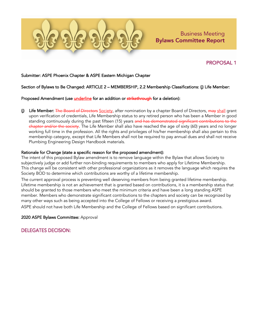

# PROPOSAL 1

#### Submitter: ASPE Phoenix Chapter & ASPE Eastern Michigan Chapter

#### Section of Bylaws to Be Changed: ARTICLE 2 – MEMBERSHIP, 2.2 Membership Classifications: (j) Life Member:

#### Proposed Amendment (use *underline* for an addition or strikethrough for a deletion):

(j) Life Member: The Board of Directors Society, after nomination by a chapter Board of Directors, may shall grant upon verification of credentials, Life Membership status to any retired person who has been a Member in good standing continuously during the past fifteen (15) years and has demonstrated significant contributions to the chapter and/or the society. The Life Member shall also have reached the age of sixty (60) years and no longer working full time in the profession. All the rights and privileges of his/her membership shall also pertain to this membership category, except that Life Members shall not be required to pay annual dues and shall not receive Plumbing Engineering Design Handbook materials.

#### Rationale for Change (state a specific reason for the proposed amendment):

The intent of this proposed Bylaw amendment is to remove language within the Bylaw that allows Society to subjectively judge or add further non-binding requirements to members who apply for Lifetime Membership. This change will be consistent with other professional organizations as it removes the language which requires the Society BOD to determine which contributions are worthy of a lifetime membership.

The current approval process is preventing well deserving members from being granted lifetime membership. Lifetime membership is not an achievement that is granted based on contributions, it is a membership status that should be granted to those members who meet the minimum criteria and have been a long standing ASPE member. Members who demonstrate significant contributions to the chapters and society can be recognized by many other ways such as being accepted into the College of Fellows or receiving a prestigious award.

ASPE should not have both Life Membership and the College of Fellows based on significant contributions.

2020 ASPE Bylaws Committee: Approval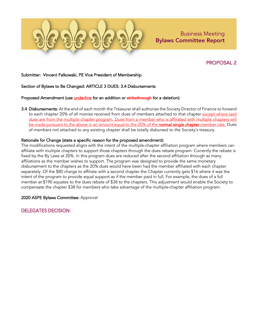

# PROPOSAL 2

#### Submitter: Vincent Falkowski, PE Vice President of Membership

Section of Bylaws to Be Changed: ARTICLE 3 DUES: 3.4 Disbursements

#### Proposed Amendment (use *underline* for an addition or strikethrough for a deletion):

3.4 Disbursements: At the end of each month the Treasurer shall authorize the Society Director of Finance to forward to each chapter 20% of all monies received from dues of members attached to that chapter except where said dues are from the multiple chapter program. Dues from a member who is affiliated with multiple chapters will be made pursuant to the above in an amount equal to the 20% of the normal single chapter member rate. Dues of members not attached to any existing chapter shall be totally disbursed to the Society's treasury.

#### Rationale for Change (state a specific reason for the proposed amendment):

The modifications requested aligns with the intent of the multiple-chapter affiliation program where members can affiliate with multiple chapters to support those chapters through the dues rebate program. Currently the rebate is fixed by the By Laws at 20%. In this program dues are reduced after the second affiliation through as many affiliations as the member wishes to support. The program was designed to provide the same monetary disbursement to the chapters as the 20% dues would have been had the member affiliated with each chapter separately. Of the \$80 charge to affiliate with a second chapter the Chapter currently gets \$16 where it was the intent of the program to provide equal support as if the member paid in full. For example, the dues of a full member at \$190 equates to the dues rebate of \$38 to the chapters. This adjustment would enable the Society to compensate the chapter \$38 for members who take advantage of the multiple-chapter affiliation program.

#### 2020 ASPE Bylaws Committee: Approval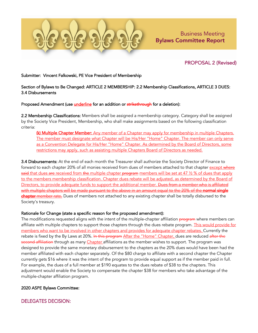

# PROPOSAL 2 (Revised)

#### Submitter: Vincent Falkowski, PE Vice President of Membership

#### Section of Bylaws to Be Changed: ARTICLE 2 MEMBERSHIP: 2.2 Membership Classifications, ARTICLE 3 DUES: 3.4 Disbursements

#### Proposed Amendment (use *underline* for an addition or strikethrough for a deletion):

2.2 Membership Classifications: Members shall be assigned a membership category. Category shall be assigned by the Society Vice President, Membership, who shall make assignments based on the following classification criteria:

(k) Multiple Chapter Member: Any member of a Chapter may apply for membership in multiple Chapters. The member must designate what Chapter will be His/Her "Home" Chapter. The member can only serve as a Convention Delegate for His/Her "Home" Chapter. As determined by the Board of Directors, some restrictions may apply, such as assisting multiple Chapters Board of Directors as needed.

3.4 Disbursements: At the end of each month the Treasurer shall authorize the Society Director of Finance to forward to each chapter 20% of all monies received from dues of members attached to that chapter except where said that dues are received from the multiple chapter program members will be set at 47  $\frac{1}{2}$  % of dues that apply to the members membership classification. Chapter dues rebate will be adjusted, as determined by the Board of Directors, to provide adequate funds to support the additional member. Dues from a member who is affiliated with multiple chapters will be made pursuant to the above in an amount equal to the 20% of the normal single chapter member rate. Dues of members not attached to any existing chapter shall be totally disbursed to the Society's treasury.

#### Rationale for Change (state a specific reason for the proposed amendment):

The modifications requested aligns with the intent of the multiple-chapter affiliation program where members can affiliate with multiple chapters to support those chapters through the dues rebate program. This would provide for members who want to be involved in other chapters and provides for adequate chapter rebates. Currently the rebate is fixed by the By Laws at 20%. In this program After the "Home" Chapter, dues are reduced after the second affiliation through as many Chapter affiliations as the member wishes to support. The program was designed to provide the same monetary disbursement to the chapters as the 20% dues would have been had the member affiliated with each chapter separately. Of the \$80 charge to affiliate with a second chapter the Chapter currently gets \$16 where it was the intent of the program to provide equal support as if the member paid in full. For example, the dues of a full member at \$190 equates to the dues rebate of \$38 to the chapters. This adjustment would enable the Society to compensate the chapter \$38 for members who take advantage of the multiple-chapter affiliation program.

#### 2020 ASPE Bylaws Committee: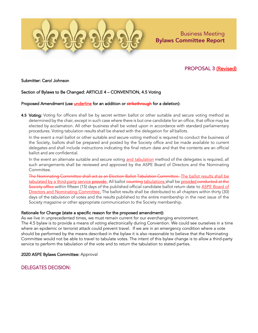

# PROPOSAL 3 (Revised)

#### Submitter: Carol Johnson

#### Section of Bylaws to Be Changed: ARTICLE 4 – CONVENTION, 4.5 Voting

#### Proposed Amendment (use *underline* for an addition or strikethrough for a deletion):

**4.5** Voting: Voting for officers shall be by secret written ballot or other suitable and secure voting method as determined by the chair, except in such case where there is but one candidate for an office, that office may be elected by acclamation. All other business shall be voted upon in accordance with standard parliamentary procedures. Voting tabulation results shall be shared with the delegation for all ballots.

In the event a mail ballot or other suitable and secure voting method is required to conduct the business of the Society, ballots shall be prepared and posted by the Society office and be made available to current delegates and shall include instructions indicating the final return date and that the contents are an official ballot and are confidential.

In the event an alternate suitable and secure voting and tabulation method of the delegates is required, all such arrangements shall be reviewed and approved by the ASPE Board of Directors and the Nominating Committee.

The Nominating Committee shall act as an Election Ballot Tabulation Committee. The ballot results shall be tabulated by a third-party service provide. All ballot counting tabulations shall be provided conducted at the Society office within fifteen (15) days of the published official candidate ballot return date to ASPE Board of Directors and Nominating Committee. The ballot results shall be distributed to all chapters within thirty (30) days of the tabulation of votes and the results published to the entire membership in the next issue of the Society magazine or other appropriate communication to the Society membership.

#### Rationale for Change (state a specific reason for the proposed amendment):

As we live in unprecedented times, we must remain current for our everchanging environment.

The 4.5 bylaw is to provide a means of voting electronically during Convention. We could see ourselves in a time where an epidemic or terrorist attack could prevent travel. If we are in an emergency condition where a vote should be performed by the means described in the bylaw it is also reasonable to believe that the Nominating Committee would not be able to travel to tabulate votes. The intent of this bylaw change is to allow a third-party service to perform the tabulation of the vote and to return the tabulation to stated parties.

2020 ASPE Bylaws Committee: Approval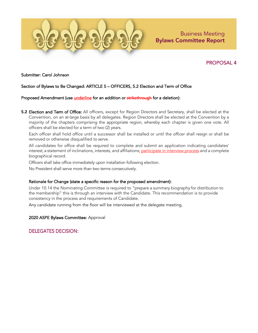

# PROPOSAL 4

Submitter: Carol Johnson

#### Section of Bylaws to Be Changed: ARTICLE 5 – OFFICERS, 5.2 Election and Term of Office

#### Proposed Amendment (use *underline* for an addition or strikethrough for a deletion):

**5.2** Election and Term of Office: All officers, except for Region Directors and Secretary, shall be elected at the Convention, on an at-large basis by all delegates. Region Directors shall be elected at the Convention by a majority of the chapters comprising the appropriate region, whereby each chapter is given one vote. All officers shall be elected for a term of two (2) years.

Each officer shall hold office until a successor shall be installed or until the officer shall resign or shall be removed or otherwise disqualified to serve.

All candidates for office shall be required to complete and submit an application indicating candidates' interest; a statement of inclinations, interests, and affiliations; participate in interview process and a complete biographical record.

Officers shall take office immediately upon installation following election.

No President shall serve more than two terms consecutively.

#### Rationale for Change (state a specific reason for the proposed amendment):

Under 10.14 the Nominating Committee is required to "prepare a summary biography for distribution to the membership" this is through an interview with the Candidate. This recommendation is to provide consistency in the process and requirements of Candidate.

Any candidate running from the floor will be interviewed at the delegate meeting.

2020 ASPE Bylaws Committee: Approval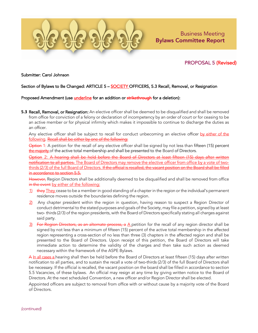

# PROPOSAL 5 (Revised)

Submitter: Carol Johnson

#### Section of Bylaws to Be Changed: ARTICLE 5 - SOCIETY OFFICERS, 5.3 Recall, Removal, or Resignation

Proposed Amendment (use underline for an addition or strikethrough for a deletion):

**5.3** Recall, Removal, or Resignation: An elective officer shall be deemed to be disqualified and shall be removed from office for conviction of a felony or declaration of incompetency by an order of court or for ceasing to be an active member or for physical infirmity which makes it impossible to continue to discharge the duties as an officer.

Any elective officer shall be subject to recall for conduct unbecoming an elective officer by either of the following. Recall shall be either by one of the following:

Option 1: A petition for the recall of any elective officer shall be signed by not less than fifteen (15) percent the majority of the active total membership and shall be presented to the Board of Directors.

Option 2: A hearing shall be held before the Board of Directors at least fifteen (15) days after written notification to all parties. The Board of Directors may remove the elective officer from office by a vote of twothirds (2/3) of the full Board of Directors. If the official is recalled, the vacant position on the Board shall be filled in accordance to section 5.5.

However, Region Directors shall be additionally deemed to be disqualified and shall be removed from office in the event by either of the following:

- $1)$  they They cease to be a member in good standing of a chapter in the region or the individual's permanent residence moves outside the boundaries defining the region.
- 2) Any chapter president within the region in question, having reason to suspect a Region Director of conduct detrimental to the stated purposes and goals of the Society, may file a petition, signed by at least two- thirds (2/3) of the region presidents, with the Board of Directors specifically stating all charges against said party.
- 3) For Region Directors, as an alternate process, a A petition for the recall of any region director shall be signed by not less than a minimum of fifteen (15) percent of the active total membership in the affected region representing a cross-section of no less than three (3) chapters in the affected region and shall be presented to the Board of Directors. Upon receipt of this petition, the Board of Directors will take immediate action to determine the validity of the charges and then take such action as deemed necessary within the framework of the ASPE Bylaws.

A In all cases a hearing shall then be held before the Board of Directors at least fifteen (15) days after written notification to all parties, and to sustain the recall a vote of two-thirds (2/3) of the full Board of Directors shall be necessary. If the official is recalled, the vacant position on the board shall be filled in accordance to section 5.5 Vacancies, of these bylaws. An official may resign at any time by giving written notice to the Board of Directors. At the next scheduled Convention, a new officer and/or Region Director shall be elected.

Appointed officers are subject to removal from office with or without cause by a majority vote of the Board of Directors.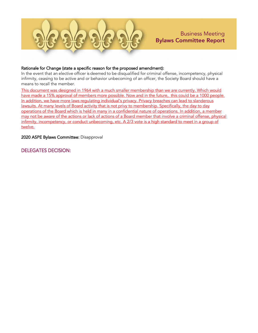

#### Rationale for Change (state a specific reason for the proposed amendment):

In the event that an elective officer is deemed to be disqualified for criminal offense, incompetency, physical infirmity, ceasing to be active and or behavior unbecoming of an officer, the Society Board should have a means to recall the member.

This document was designed in 1964 with a much smaller membership than we are currently. Which would have made a 15% approval of members more possible. Now and in the future, this could be a 1000 people. In addition, we have more laws regulating individual's privacy. Privacy breaches can lead to slanderous lawsuits. At many levels of Board activity that is not privy to membership. Specifically, the day to day operations of the Board which is held in many in a confidential nature of operations. In addition, a member may not be aware of the actions or lack of actions of a Board member that involve a criminal offense, physical infirmity, incompetency, or conduct unbecoming, etc. A 2/3 vote is a high standard to meet in a group of twelve.

2020 ASPE Bylaws Committee: Disapproval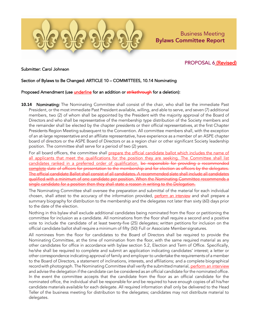

# PROPOSAL 6 (Revised)

#### Submitter: Carol Johnson

#### Section of Bylaws to Be Changed: ARTICLE 10 – COMMITTEES, 10.14 Nominating

#### Proposed Amendment (use *underline* for an addition or strikethrough for a deletion):

**10.14** Nominating: The Nominating Committee shall consist of the chair, who shall be the immediate Past President, or the most immediate Past President available, willing, and able to serve, and seven (7) additional members, two (2) of whom shall be appointed by the President with the majority approval of the Board of Directors and who shall be representative of the membership type distribution of the Society members and the remainder shall be elected by the chapter presidents or their official representatives, at the first Chapter Presidents Region Meeting subsequent to the Convention. All committee members shall, with the exception of an at-large representative and an affiliate representative, have experience as a member of an ASPE chapter board of directors or the ASPE Board of Directors or as a region chair or other significant Society leadership position. The committee shall serve for a period of two (2) years.

For all board officers, the committee shall prepare the official candidate ballot which includes the name of all applicants that meet the qualifications for the position they are seeking. The Committee shall list candidates ranked in a preferred order of qualification. be responsible for providing a recommended complete slate of officers for presentation to the membership and for election as officers by the delegates. The official candidate Ballot shall consist of all candidates. A recommended slate shall include all candidates qualified with a minimum of one candidate per position. When the single candidate for a position then they shall state a reason in writing to the Delegation.

The Nominating Committee shall oversee the preparation and submittal of the material for each individual chosen, shall attest to the accuracy of the information provided, perform an interview and shall prepare a summary biography for distribution to the membership and the delegates not later than sixty (60) days prior to the date of the election.

Nothing in this bylaw shall exclude additional candidates being nominated from the floor or petitioning the committee for inclusion as a candidate. All nominations from the floor shall require a second and a positive vote to include the candidate of at least twenty-five (25) delegates; written petitions for inclusion on the official candidate ballot shall require a minimum of fifty (50) Full or Associate Member signatures.

All nominees from the floor for candidates to the Board of Directors shall be required to provide the Nominating Committee, at the time of nomination from the floor, with the same required material as any other candidates for office in accordance with bylaw section 5.2, Election and Term of Office. Specifically, he/she shall be required to complete and submit an application indicating candidates' interest; a letter or other correspondence indicating approval of family and employer to undertake the requirements of a member to the Board of Directors, a statement of inclinations, interests, and affiliations; and a complete biographical record with photograph. The Nominating Committee shall verify the submitted material, perform an interview and advise the delegation if the candidate can be considered as an official candidate for the nominated office. In the event the committee accepts that the candidate from the floor as an official candidate for the nominated office, the individual shall be responsible for and be required to have enough copies of all his/her candidate materials available for each delegate. All required information shall only be delivered to the Head Teller of the business meeting for distribution to the delegates; candidates may not distribute material to delegates.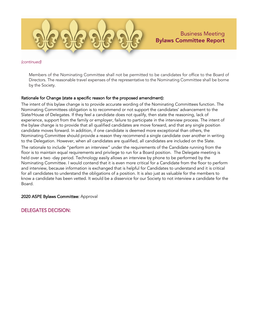

*(continued)*

Members of the Nominating Committee shall not be permitted to be candidates for office to the Board of Directors. The reasonable travel expenses of the representative to the Nominating Committee shall be borne by the Society.

#### Rationale for Change (state a specific reason for the proposed amendment):

The intent of this bylaw change is to provide accurate wording of the Nominating Committees function. The Nominating Committees obligation is to recommend or not support the candidates' advancement to the Slate/House of Delegates. If they feel a candidate does not qualify, then state the reasoning, lack of experience, support from the family or employer, failure to participate in the interview process. The intent of the bylaw change is to provide that all qualified candidates are move forward, and that any single position candidate moves forward. In addition, if one candidate is deemed more exceptional than others, the Nominating Committee should provide a reason they recommend a single candidate over another in writing to the Delegation. However, when all candidates are qualified, all candidates are included on the Slate.

The rationale to include "perform an interview" under the requirements of the Candidate running from the floor is to maintain equal requirements and privilege to run for a Board position. The Delegate meeting is held over a two -day period. Technology easily allows an interview by phone to be performed by the Nominating Committee. I would contend that it is even more critical for a Candidate from the floor to perform and interview, because information is exchanged that is helpful for Candidates to understand and it is critical for all candidates to understand the obligations of a position. It is also just as valuable for the members to know a candidate has been vetted. It would be a disservice for our Society to not interview a candidate for the Board.

2020 ASPE Bylaws Committee: Approval